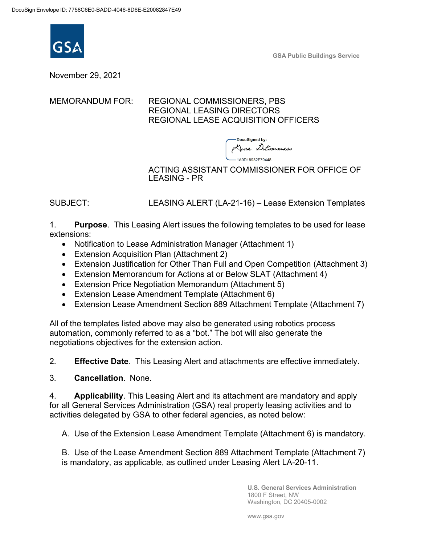

**GSA Public Buildings Service**

November 29, 2021

MEMORANDUM FOR: REGIONAL COMMISSIONERS, PBS REGIONAL LEASING DIRECTORS REGIONAL LEASE ACQUISITION OFFICERS

> DocuSianed by: Ana Ditommass 1A9D18932F70448...

ACTING ASSISTANT COMMISSIONER FOR OFFICE OF LEASING - PR

SUBJECT: LEASING ALERT (LA-21-16) – Lease Extension Templates

1. **Purpose**. This Leasing Alert issues the following templates to be used for lease extensions:

- Notification to Lease Administration Manager (Attachment 1)
- Extension Acquisition Plan (Attachment 2)
- Extension Justification for Other Than Full and Open Competition (Attachment 3)
- Extension Memorandum for Actions at or Below SLAT (Attachment 4)
- Extension Price Negotiation Memorandum (Attachment 5)
- Extension Lease Amendment Template (Attachment 6)
- Extension Lease Amendment Section 889 Attachment Template (Attachment 7)

All of the templates listed above may also be generated using robotics process automation, commonly referred to as a "bot." The bot will also generate the negotiations objectives for the extension action.

2. **Effective Date**. This Leasing Alert and attachments are effective immediately.

3. **Cancellation**. None.

4. **Applicability**. This Leasing Alert and its attachment are mandatory and apply for all General Services Administration (GSA) real property leasing activities and to activities delegated by GSA to other federal agencies, as noted below:

A. Use of the Extension Lease Amendment Template (Attachment 6) is mandatory.

B. Use of the Lease Amendment Section 889 Attachment Template (Attachment 7) is mandatory, as applicable, as outlined under Leasing Alert LA-20-11.

> **U.S. General Services Administration** 1800 F Street, NW Washington, DC 20405-0002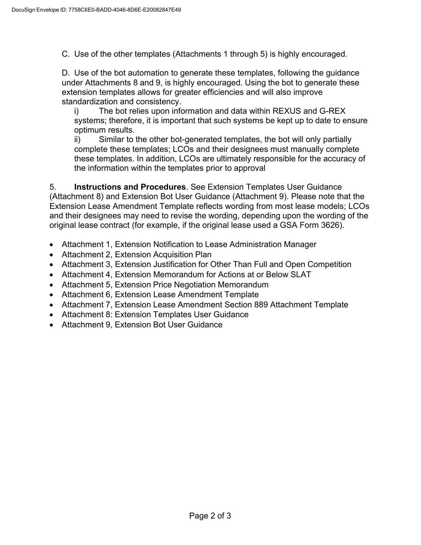C. Use of the other templates (Attachments 1 through 5) is highly encouraged.

D. Use of the bot automation to generate these templates, following the guidance under Attachments 8 and 9, is highly encouraged. Using the bot to generate these extension templates allows for greater efficiencies and will also improve standardization and consistency.

i) The bot relies upon information and data within REXUS and G-REX systems; therefore, it is important that such systems be kept up to date to ensure optimum results.

ii) Similar to the other bot-generated templates, the bot will only partially complete these templates; LCOs and their designees must manually complete these templates. In addition, LCOs are ultimately responsible for the accuracy of the information within the templates prior to approval

5. **Instructions and Procedures**. See Extension Templates User Guidance (Attachment 8) and Extension Bot User Guidance (Attachment 9). Please note that the Extension Lease Amendment Template reflects wording from most lease models; LCOs and their designees may need to revise the wording, depending upon the wording of the original lease contract (for example, if the original lease used a GSA Form 3626).

- Attachment 1, Extension Notification to Lease Administration Manager
- Attachment 2, Extension Acquisition Plan
- Attachment 3, Extension Justification for Other Than Full and Open Competition
- Attachment 4, Extension Memorandum for Actions at or Below SLAT
- Attachment 5, Extension Price Negotiation Memorandum
- Attachment 6, Extension Lease Amendment Template
- Attachment 7, Extension Lease Amendment Section 889 Attachment Template
- Attachment 8: Extension Templates User Guidance
- Attachment 9, Extension Bot User Guidance